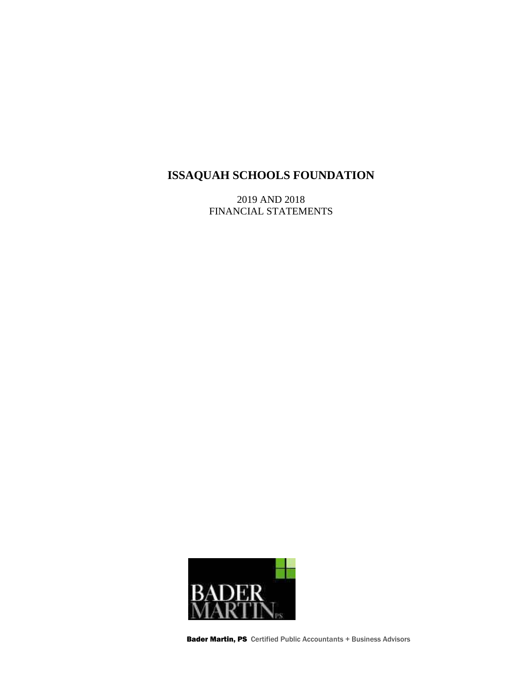2019 AND 2018 FINANCIAL STATEMENTS



Bader Martin, PS Certified Public Accountants + Business Advisors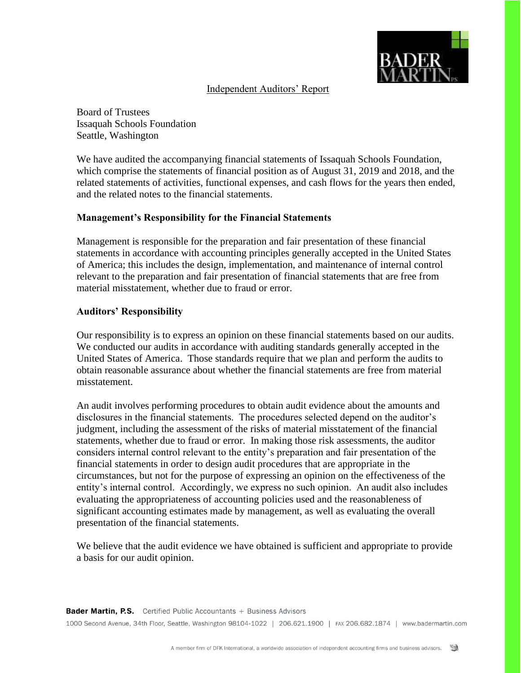

### Independent Auditors' Report

Board of Trustees Issaquah Schools Foundation Seattle, Washington

We have audited the accompanying financial statements of Issaquah Schools Foundation, which comprise the statements of financial position as of August 31, 2019 and 2018, and the related statements of activities, functional expenses, and cash flows for the years then ended, and the related notes to the financial statements.

### **Management's Responsibility for the Financial Statements**

Management is responsible for the preparation and fair presentation of these financial statements in accordance with accounting principles generally accepted in the United States of America; this includes the design, implementation, and maintenance of internal control relevant to the preparation and fair presentation of financial statements that are free from material misstatement, whether due to fraud or error.

### **Auditors' Responsibility**

Our responsibility is to express an opinion on these financial statements based on our audits. We conducted our audits in accordance with auditing standards generally accepted in the United States of America. Those standards require that we plan and perform the audits to obtain reasonable assurance about whether the financial statements are free from material misstatement.

An audit involves performing procedures to obtain audit evidence about the amounts and disclosures in the financial statements. The procedures selected depend on the auditor's judgment, including the assessment of the risks of material misstatement of the financial statements, whether due to fraud or error. In making those risk assessments, the auditor considers internal control relevant to the entity's preparation and fair presentation of the financial statements in order to design audit procedures that are appropriate in the circumstances, but not for the purpose of expressing an opinion on the effectiveness of the entity's internal control. Accordingly, we express no such opinion. An audit also includes evaluating the appropriateness of accounting policies used and the reasonableness of significant accounting estimates made by management, as well as evaluating the overall presentation of the financial statements.

We believe that the audit evidence we have obtained is sufficient and appropriate to provide a basis for our audit opinion.

**Bader Martin, P.S.** Certified Public Accountants + Business Advisors 1000 Second Avenue, 34th Floor, Seattle, Washington 98104-1022 | 206.621.1900 | FAX 206.682.1874 | www.badermartin.com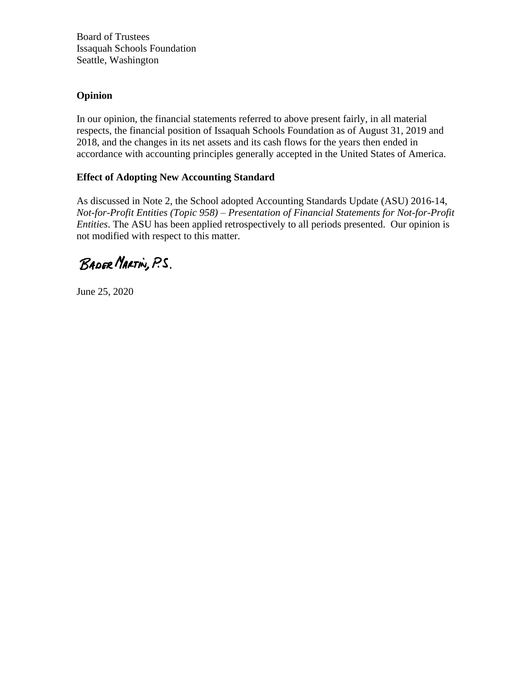Board of Trustees Issaquah Schools Foundation Seattle, Washington

## **Opinion**

In our opinion, the financial statements referred to above present fairly, in all material respects, the financial position of Issaquah Schools Foundation as of August 31, 2019 and 2018, and the changes in its net assets and its cash flows for the years then ended in accordance with accounting principles generally accepted in the United States of America.

## **Effect of Adopting New Accounting Standard**

As discussed in Note 2, the School adopted Accounting Standards Update (ASU) 2016-14, *Not-for-Profit Entities (Topic 958) – Presentation of Financial Statements for Not-for-Profit Entities*. The ASU has been applied retrospectively to all periods presented. Our opinion is not modified with respect to this matter.

BADER MARTIN, P.S.

June 25, 2020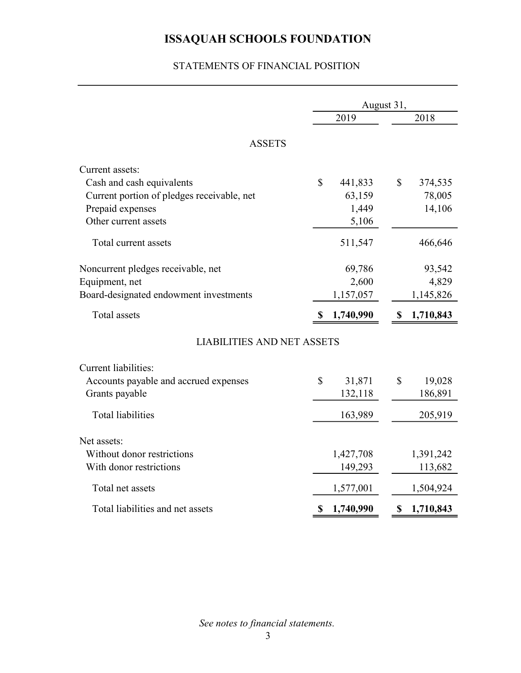## STATEMENTS OF FINANCIAL POSITION

|                                            | August 31,  |           |              |           |  |
|--------------------------------------------|-------------|-----------|--------------|-----------|--|
|                                            |             | 2019      |              | 2018      |  |
| <b>ASSETS</b>                              |             |           |              |           |  |
|                                            |             |           |              |           |  |
| Current assets:                            |             |           |              |           |  |
| Cash and cash equivalents                  | $\mathbf S$ | 441,833   | $\mathbb{S}$ | 374,535   |  |
| Current portion of pledges receivable, net |             | 63,159    |              | 78,005    |  |
| Prepaid expenses                           |             | 1,449     |              | 14,106    |  |
| Other current assets                       |             | 5,106     |              |           |  |
| Total current assets                       |             | 511,547   |              | 466,646   |  |
| Noncurrent pledges receivable, net         |             | 69,786    |              | 93,542    |  |
| Equipment, net                             |             | 2,600     |              | 4,829     |  |
| Board-designated endowment investments     |             | 1,157,057 |              | 1,145,826 |  |
|                                            |             |           |              |           |  |
| Total assets                               | \$          | 1,740,990 | \$           | 1,710,843 |  |
| <b>LIABILITIES AND NET ASSETS</b>          |             |           |              |           |  |
| <b>Current liabilities:</b>                |             |           |              |           |  |
| Accounts payable and accrued expenses      | $\mathbf S$ | 31,871    | \$           | 19,028    |  |
| Grants payable                             |             | 132,118   |              | 186,891   |  |
|                                            |             |           |              |           |  |
| <b>Total liabilities</b>                   |             | 163,989   |              | 205,919   |  |
| Net assets:                                |             |           |              |           |  |
| Without donor restrictions                 |             | 1,427,708 |              | 1,391,242 |  |
| With donor restrictions                    |             | 149,293   |              | 113,682   |  |
| Total net assets                           |             | 1,577,001 |              | 1,504,924 |  |
| Total liabilities and net assets           | \$          | 1,740,990 | \$           | 1,710,843 |  |
|                                            |             |           |              |           |  |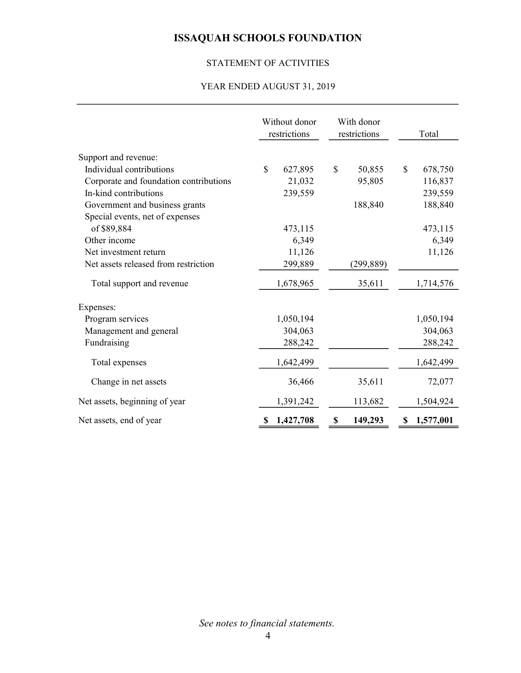# STATEMENT OF ACTIVITIES

### YEAR ENDED AUGUST 31, 2019

|                                        | Without donor<br>restrictions |           | With donor<br>restrictions |            | Total           |
|----------------------------------------|-------------------------------|-----------|----------------------------|------------|-----------------|
| Support and revenue:                   |                               |           |                            |            |                 |
| Individual contributions               | $\mathbf S$                   | 627,895   | \$                         | 50,855     | \$<br>678,750   |
| Corporate and foundation contributions |                               | 21,032    |                            | 95,805     | 116,837         |
| In-kind contributions                  |                               | 239,559   |                            |            | 239,559         |
| Government and business grants         |                               |           |                            | 188,840    | 188,840         |
| Special events, net of expenses        |                               |           |                            |            |                 |
| of \$89,884                            |                               | 473,115   |                            |            | 473,115         |
| Other income                           |                               | 6,349     |                            |            | 6,349           |
| Net investment return                  |                               | 11,126    |                            |            | 11,126          |
| Net assets released from restriction   |                               | 299,889   |                            | (299, 889) |                 |
| Total support and revenue              |                               | 1,678,965 |                            | 35,611     | 1,714,576       |
| Expenses:                              |                               |           |                            |            |                 |
| Program services                       |                               | 1,050,194 |                            |            | 1,050,194       |
| Management and general                 |                               | 304,063   |                            |            | 304,063         |
| Fundraising                            |                               | 288,242   |                            |            | 288,242         |
| Total expenses                         |                               | 1,642,499 |                            |            | 1,642,499       |
| Change in net assets                   |                               | 36,466    |                            | 35,611     | 72,077          |
| Net assets, beginning of year          |                               | 1,391,242 |                            | 113,682    | 1,504,924       |
| Net assets, end of year                |                               | 1,427,708 | \$                         | 149,293    | \$<br>1,577,001 |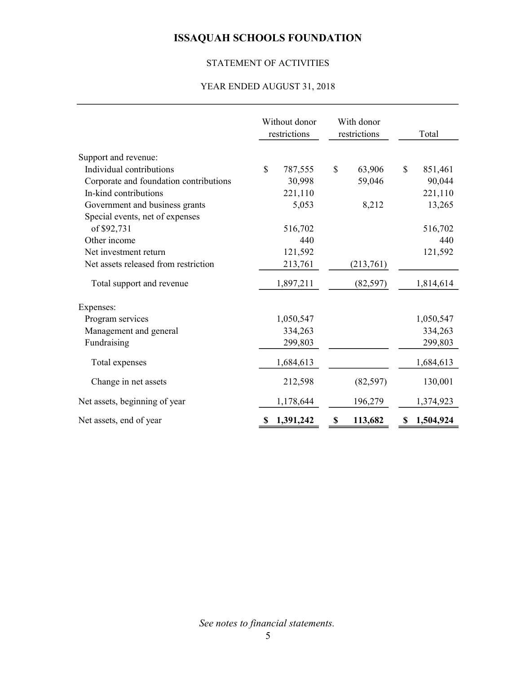## STATEMENT OF ACTIVITIES

### YEAR ENDED AUGUST 31, 2018

|                                        | Without donor<br>restrictions |           | With donor<br>restrictions |           |    | Total     |
|----------------------------------------|-------------------------------|-----------|----------------------------|-----------|----|-----------|
| Support and revenue:                   |                               |           |                            |           |    |           |
| Individual contributions               | $\mathbf S$                   | 787,555   | $\mathcal{S}$              | 63,906    | \$ | 851,461   |
| Corporate and foundation contributions |                               | 30,998    |                            | 59,046    |    | 90,044    |
| In-kind contributions                  |                               | 221,110   |                            |           |    | 221,110   |
| Government and business grants         |                               | 5,053     |                            | 8,212     |    | 13,265    |
| Special events, net of expenses        |                               |           |                            |           |    |           |
| of \$92,731                            |                               | 516,702   |                            |           |    | 516,702   |
| Other income                           |                               | 440       |                            |           |    | 440       |
| Net investment return                  |                               | 121,592   |                            |           |    | 121,592   |
| Net assets released from restriction   |                               | 213,761   |                            | (213,761) |    |           |
| Total support and revenue              |                               | 1,897,211 |                            | (82, 597) |    | 1,814,614 |
| Expenses:                              |                               |           |                            |           |    |           |
| Program services                       |                               | 1,050,547 |                            |           |    | 1,050,547 |
| Management and general                 |                               | 334,263   |                            |           |    | 334,263   |
| Fundraising                            |                               | 299,803   |                            |           |    | 299,803   |
| Total expenses                         |                               | 1,684,613 |                            |           |    | 1,684,613 |
| Change in net assets                   |                               | 212,598   |                            | (82, 597) |    | 130,001   |
| Net assets, beginning of year          |                               | 1,178,644 |                            | 196,279   |    | 1,374,923 |
| Net assets, end of year                |                               | 1,391,242 | \$                         | 113,682   | S  | 1,504,924 |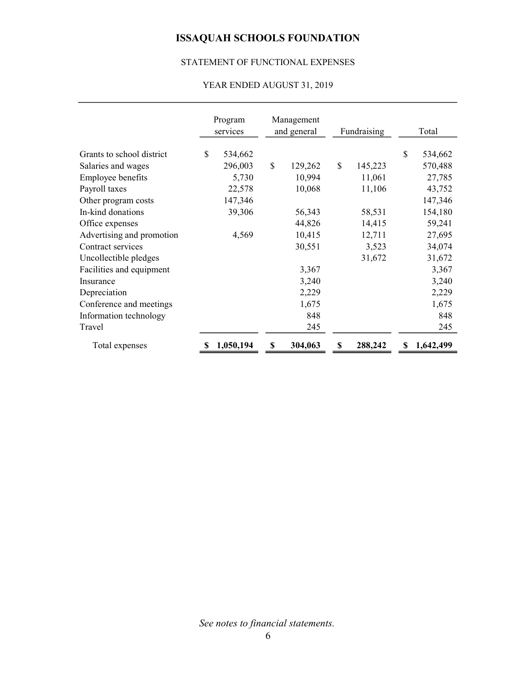### STATEMENT OF FUNCTIONAL EXPENSES

## YEAR ENDED AUGUST 31, 2019

|                           | Program<br>services |               | Management<br>and general |    | Fundraising |    | Total     |
|---------------------------|---------------------|---------------|---------------------------|----|-------------|----|-----------|
| Grants to school district | \$<br>534,662       |               |                           |    |             | \$ | 534,662   |
| Salaries and wages        | 296,003             | $\mathcal{S}$ | 129,262                   | \$ | 145,223     |    | 570,488   |
| Employee benefits         | 5,730               |               | 10,994                    |    | 11,061      |    | 27,785    |
| Payroll taxes             | 22,578              |               | 10,068                    |    | 11,106      |    | 43,752    |
| Other program costs       | 147,346             |               |                           |    |             |    | 147,346   |
| In-kind donations         | 39,306              |               | 56,343                    |    | 58,531      |    | 154,180   |
| Office expenses           |                     |               | 44,826                    |    | 14,415      |    | 59,241    |
| Advertising and promotion | 4,569               |               | 10,415                    |    | 12,711      |    | 27,695    |
| Contract services         |                     |               | 30,551                    |    | 3,523       |    | 34,074    |
| Uncollectible pledges     |                     |               |                           |    | 31,672      |    | 31,672    |
| Facilities and equipment  |                     |               | 3,367                     |    |             |    | 3,367     |
| Insurance                 |                     |               | 3,240                     |    |             |    | 3,240     |
| Depreciation              |                     |               | 2,229                     |    |             |    | 2,229     |
| Conference and meetings   |                     |               | 1,675                     |    |             |    | 1,675     |
| Information technology    |                     |               | 848                       |    |             |    | 848       |
| Travel                    |                     |               | 245                       |    |             |    | 245       |
| Total expenses            | 1,050,194           | \$            | 304,063                   | S  | 288,242     | S  | 1,642,499 |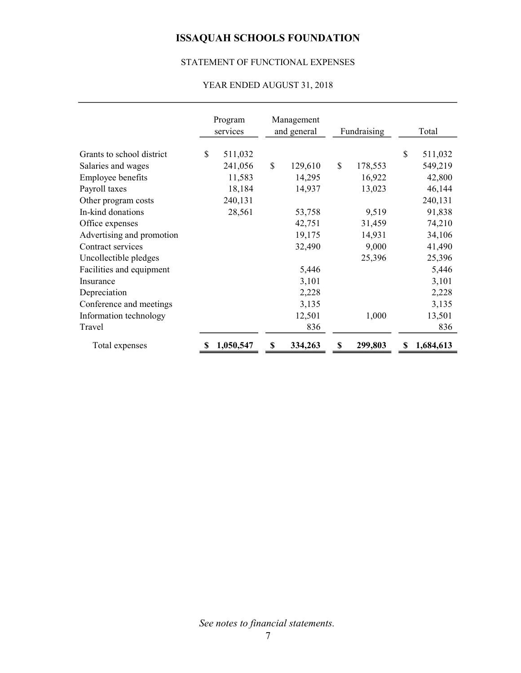### STATEMENT OF FUNCTIONAL EXPENSES

### YEAR ENDED AUGUST 31, 2018

|                           | Program<br>services |               | Management<br>and general |              | Fundraising |    | Total     |
|---------------------------|---------------------|---------------|---------------------------|--------------|-------------|----|-----------|
| Grants to school district | \$<br>511,032       |               |                           |              |             | \$ | 511,032   |
| Salaries and wages        | 241,056             | $\mathcal{S}$ | 129,610                   | $\mathbb{S}$ | 178,553     |    | 549,219   |
| Employee benefits         | 11,583              |               | 14,295                    |              | 16,922      |    | 42,800    |
| Payroll taxes             | 18,184              |               | 14,937                    |              | 13,023      |    | 46,144    |
| Other program costs       | 240,131             |               |                           |              |             |    | 240,131   |
| In-kind donations         | 28,561              |               | 53,758                    |              | 9,519       |    | 91,838    |
| Office expenses           |                     |               | 42,751                    |              | 31,459      |    | 74,210    |
| Advertising and promotion |                     |               | 19,175                    |              | 14,931      |    | 34,106    |
| Contract services         |                     |               | 32,490                    |              | 9,000       |    | 41,490    |
| Uncollectible pledges     |                     |               |                           |              | 25,396      |    | 25,396    |
| Facilities and equipment  |                     |               | 5,446                     |              |             |    | 5,446     |
| Insurance                 |                     |               | 3,101                     |              |             |    | 3,101     |
| Depreciation              |                     |               | 2,228                     |              |             |    | 2,228     |
| Conference and meetings   |                     |               | 3,135                     |              |             |    | 3,135     |
| Information technology    |                     |               | 12,501                    |              | 1,000       |    | 13,501    |
| Travel                    |                     |               | 836                       |              |             |    | 836       |
| Total expenses            | 1,050,547           | \$            | 334,263                   | S            | 299,803     | S  | 1,684,613 |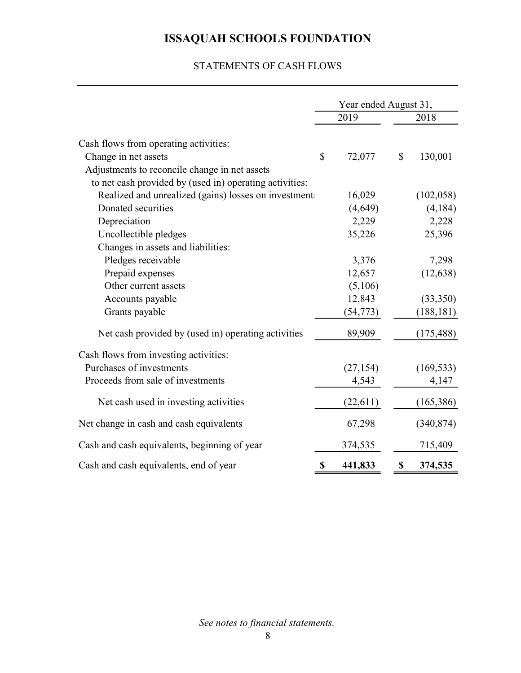### STATEMENTS OF CASH FLOWS

|                                                         | Year ended August 31, |           |              |            |  |
|---------------------------------------------------------|-----------------------|-----------|--------------|------------|--|
|                                                         |                       | 2019      |              | 2018       |  |
| Cash flows from operating activities:                   |                       |           |              |            |  |
| Change in net assets                                    | \$                    | 72,077    | $\mathbb{S}$ | 130,001    |  |
| Adjustments to reconcile change in net assets           |                       |           |              |            |  |
| to net cash provided by (used in) operating activities: |                       |           |              |            |  |
| Realized and unrealized (gains) losses on investment.   |                       | 16,029    |              | (102, 058) |  |
| Donated securities                                      |                       | (4,649)   |              | (4,184)    |  |
| Depreciation                                            |                       | 2,229     |              | 2,228      |  |
| Uncollectible pledges                                   |                       | 35,226    |              | 25,396     |  |
| Changes in assets and liabilities:                      |                       |           |              |            |  |
| Pledges receivable                                      |                       | 3,376     |              | 7,298      |  |
| Prepaid expenses                                        |                       | 12,657    |              | (12, 638)  |  |
| Other current assets                                    |                       | (5,106)   |              |            |  |
| Accounts payable                                        |                       | 12,843    |              | (33,350)   |  |
| Grants payable                                          |                       | (54, 773) |              | (188, 181) |  |
| Net cash provided by (used in) operating activities     |                       | 89,909    |              | (175, 488) |  |
| Cash flows from investing activities:                   |                       |           |              |            |  |
| Purchases of investments                                |                       | (27, 154) |              | (169, 533) |  |
| Proceeds from sale of investments                       |                       | 4,543     |              | 4,147      |  |
| Net cash used in investing activities                   |                       | (22,611)  |              | (165, 386) |  |
| Net change in cash and cash equivalents                 |                       | 67,298    |              | (340, 874) |  |
| Cash and cash equivalents, beginning of year            |                       | 374,535   |              | 715,409    |  |
| Cash and cash equivalents, end of year                  | \$                    | 441,833   | \$           | 374,535    |  |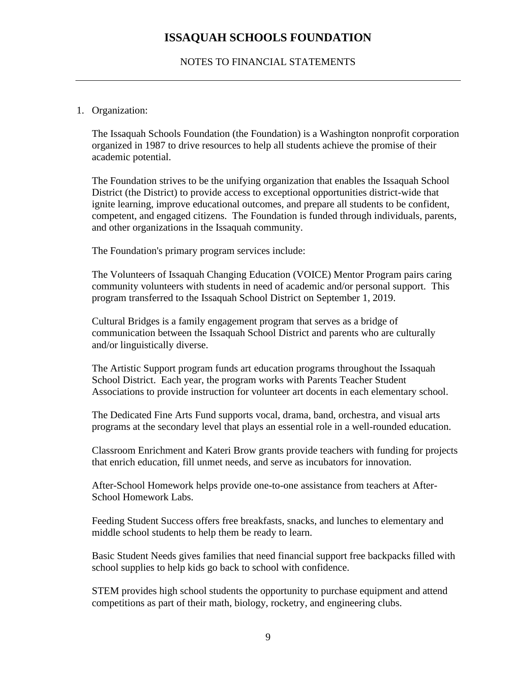### NOTES TO FINANCIAL STATEMENTS

### 1. Organization:

The Issaquah Schools Foundation (the Foundation) is a Washington nonprofit corporation organized in 1987 to drive resources to help all students achieve the promise of their academic potential.

The Foundation strives to be the unifying organization that enables the Issaquah School District (the District) to provide access to exceptional opportunities district-wide that ignite learning, improve educational outcomes, and prepare all students to be confident, competent, and engaged citizens. The Foundation is funded through individuals, parents, and other organizations in the Issaquah community.

The Foundation's primary program services include:

The Volunteers of Issaquah Changing Education (VOICE) Mentor Program pairs caring community volunteers with students in need of academic and/or personal support. This program transferred to the Issaquah School District on September 1, 2019.

Cultural Bridges is a family engagement program that serves as a bridge of communication between the Issaquah School District and parents who are culturally and/or linguistically diverse.

The Artistic Support program funds art education programs throughout the Issaquah School District. Each year, the program works with Parents Teacher Student Associations to provide instruction for volunteer art docents in each elementary school.

The Dedicated Fine Arts Fund supports vocal, drama, band, orchestra, and visual arts programs at the secondary level that plays an essential role in a well-rounded education.

Classroom Enrichment and Kateri Brow grants provide teachers with funding for projects that enrich education, fill unmet needs, and serve as incubators for innovation.

After-School Homework helps provide one-to-one assistance from teachers at After-School Homework Labs.

Feeding Student Success offers free breakfasts, snacks, and lunches to elementary and middle school students to help them be ready to learn.

Basic Student Needs gives families that need financial support free backpacks filled with school supplies to help kids go back to school with confidence.

STEM provides high school students the opportunity to purchase equipment and attend competitions as part of their math, biology, rocketry, and engineering clubs.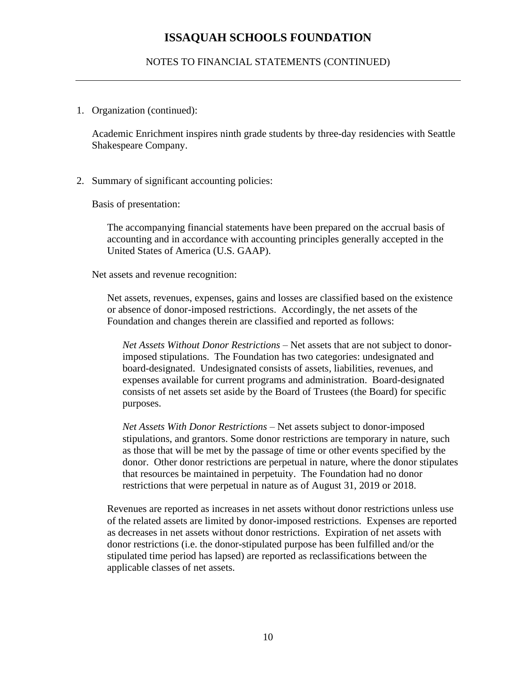#### NOTES TO FINANCIAL STATEMENTS (CONTINUED)

1. Organization (continued):

Academic Enrichment inspires ninth grade students by three-day residencies with Seattle Shakespeare Company.

2. Summary of significant accounting policies:

Basis of presentation:

The accompanying financial statements have been prepared on the accrual basis of accounting and in accordance with accounting principles generally accepted in the United States of America (U.S. GAAP).

Net assets and revenue recognition:

Net assets, revenues, expenses, gains and losses are classified based on the existence or absence of donor-imposed restrictions. Accordingly, the net assets of the Foundation and changes therein are classified and reported as follows:

*Net Assets Without Donor Restrictions* – Net assets that are not subject to donorimposed stipulations. The Foundation has two categories: undesignated and board-designated. Undesignated consists of assets, liabilities, revenues, and expenses available for current programs and administration. Board-designated consists of net assets set aside by the Board of Trustees (the Board) for specific purposes.

*Net Assets With Donor Restrictions* – Net assets subject to donor-imposed stipulations, and grantors. Some donor restrictions are temporary in nature, such as those that will be met by the passage of time or other events specified by the donor. Other donor restrictions are perpetual in nature, where the donor stipulates that resources be maintained in perpetuity. The Foundation had no donor restrictions that were perpetual in nature as of August 31, 2019 or 2018.

Revenues are reported as increases in net assets without donor restrictions unless use of the related assets are limited by donor-imposed restrictions. Expenses are reported as decreases in net assets without donor restrictions. Expiration of net assets with donor restrictions (i.e. the donor-stipulated purpose has been fulfilled and/or the stipulated time period has lapsed) are reported as reclassifications between the applicable classes of net assets.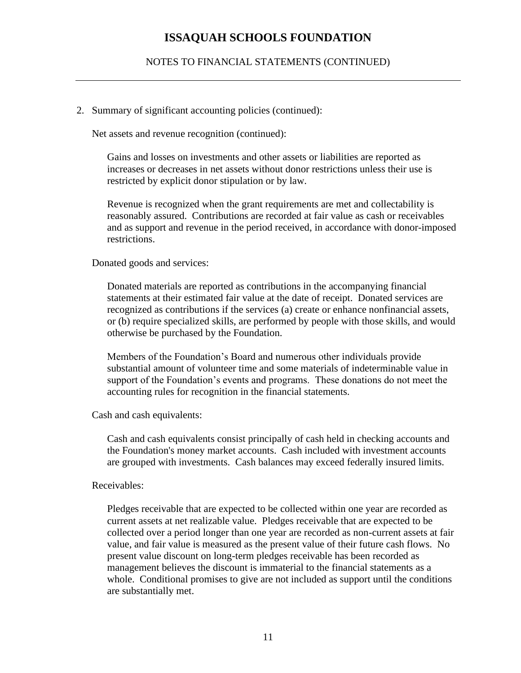#### NOTES TO FINANCIAL STATEMENTS (CONTINUED)

#### 2. Summary of significant accounting policies (continued):

Net assets and revenue recognition (continued):

Gains and losses on investments and other assets or liabilities are reported as increases or decreases in net assets without donor restrictions unless their use is restricted by explicit donor stipulation or by law.

Revenue is recognized when the grant requirements are met and collectability is reasonably assured. Contributions are recorded at fair value as cash or receivables and as support and revenue in the period received, in accordance with donor-imposed restrictions.

#### Donated goods and services:

Donated materials are reported as contributions in the accompanying financial statements at their estimated fair value at the date of receipt. Donated services are recognized as contributions if the services (a) create or enhance nonfinancial assets, or (b) require specialized skills, are performed by people with those skills, and would otherwise be purchased by the Foundation.

Members of the Foundation's Board and numerous other individuals provide substantial amount of volunteer time and some materials of indeterminable value in support of the Foundation's events and programs. These donations do not meet the accounting rules for recognition in the financial statements.

Cash and cash equivalents:

Cash and cash equivalents consist principally of cash held in checking accounts and the Foundation's money market accounts. Cash included with investment accounts are grouped with investments. Cash balances may exceed federally insured limits.

#### Receivables:

Pledges receivable that are expected to be collected within one year are recorded as current assets at net realizable value. Pledges receivable that are expected to be collected over a period longer than one year are recorded as non-current assets at fair value, and fair value is measured as the present value of their future cash flows. No present value discount on long-term pledges receivable has been recorded as management believes the discount is immaterial to the financial statements as a whole. Conditional promises to give are not included as support until the conditions are substantially met.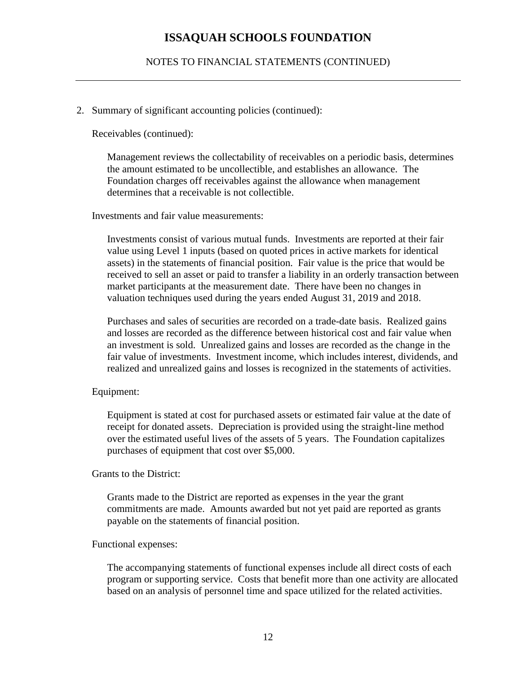#### NOTES TO FINANCIAL STATEMENTS (CONTINUED)

#### 2. Summary of significant accounting policies (continued):

Receivables (continued):

Management reviews the collectability of receivables on a periodic basis, determines the amount estimated to be uncollectible, and establishes an allowance. The Foundation charges off receivables against the allowance when management determines that a receivable is not collectible.

Investments and fair value measurements:

Investments consist of various mutual funds. Investments are reported at their fair value using Level 1 inputs (based on quoted prices in active markets for identical assets) in the statements of financial position. Fair value is the price that would be received to sell an asset or paid to transfer a liability in an orderly transaction between market participants at the measurement date. There have been no changes in valuation techniques used during the years ended August 31, 2019 and 2018.

Purchases and sales of securities are recorded on a trade-date basis. Realized gains and losses are recorded as the difference between historical cost and fair value when an investment is sold. Unrealized gains and losses are recorded as the change in the fair value of investments. Investment income, which includes interest, dividends, and realized and unrealized gains and losses is recognized in the statements of activities.

#### Equipment:

Equipment is stated at cost for purchased assets or estimated fair value at the date of receipt for donated assets. Depreciation is provided using the straight-line method over the estimated useful lives of the assets of 5 years. The Foundation capitalizes purchases of equipment that cost over \$5,000.

#### Grants to the District:

Grants made to the District are reported as expenses in the year the grant commitments are made. Amounts awarded but not yet paid are reported as grants payable on the statements of financial position.

#### Functional expenses:

The accompanying statements of functional expenses include all direct costs of each program or supporting service. Costs that benefit more than one activity are allocated based on an analysis of personnel time and space utilized for the related activities.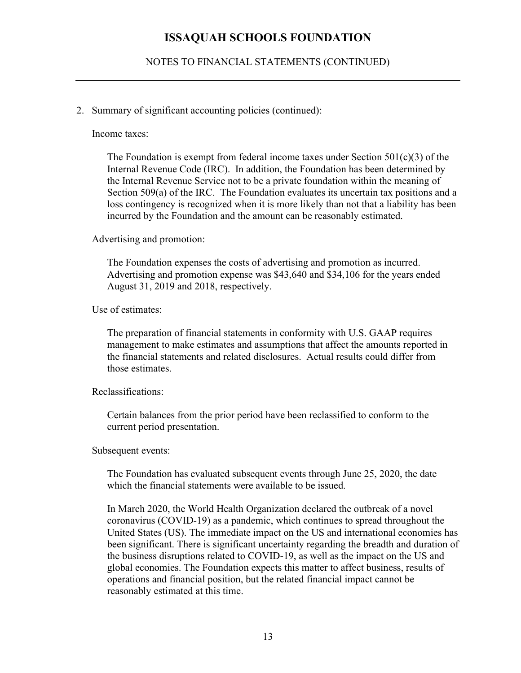NOTES TO FINANCIAL STATEMENTS (CONTINUED)

#### 2. Summary of significant accounting policies (continued):

Income taxes:

The Foundation is exempt from federal income taxes under Section  $501(c)(3)$  of the Internal Revenue Code (IRC). In addition, the Foundation has been determined by the Internal Revenue Service not to be a private foundation within the meaning of Section 509(a) of the IRC. The Foundation evaluates its uncertain tax positions and a loss contingency is recognized when it is more likely than not that a liability has been incurred by the Foundation and the amount can be reasonably estimated.

Advertising and promotion:

The Foundation expenses the costs of advertising and promotion as incurred. Advertising and promotion expense was \$43,640 and \$34,106 for the years ended August 31, 2019 and 2018, respectively.

Use of estimates:

The preparation of financial statements in conformity with U.S. GAAP requires management to make estimates and assumptions that affect the amounts reported in the financial statements and related disclosures. Actual results could differ from those estimates.

Reclassifications:

Certain balances from the prior period have been reclassified to conform to the current period presentation.

Subsequent events:

The Foundation has evaluated subsequent events through June 25, 2020, the date which the financial statements were available to be issued.

In March 2020, the World Health Organization declared the outbreak of a novel coronavirus (COVID-19) as a pandemic, which continues to spread throughout the United States (US). The immediate impact on the US and international economies has been significant. There is significant uncertainty regarding the breadth and duration of the business disruptions related to COVID-19, as well as the impact on the US and global economies. The Foundation expects this matter to affect business, results of operations and financial position, but the related financial impact cannot be reasonably estimated at this time.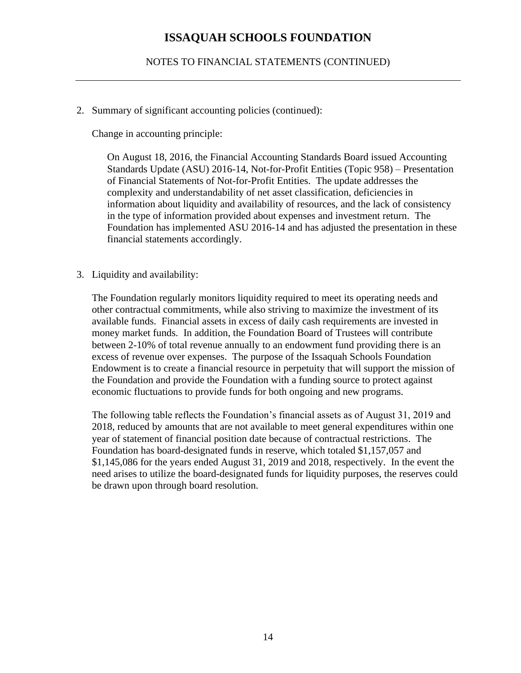NOTES TO FINANCIAL STATEMENTS (CONTINUED)

2. Summary of significant accounting policies (continued):

Change in accounting principle:

On August 18, 2016, the Financial Accounting Standards Board issued Accounting Standards Update (ASU) 2016-14, Not-for-Profit Entities (Topic 958) – Presentation of Financial Statements of Not-for-Profit Entities. The update addresses the complexity and understandability of net asset classification, deficiencies in information about liquidity and availability of resources, and the lack of consistency in the type of information provided about expenses and investment return. The Foundation has implemented ASU 2016-14 and has adjusted the presentation in these financial statements accordingly.

3. Liquidity and availability:

The Foundation regularly monitors liquidity required to meet its operating needs and other contractual commitments, while also striving to maximize the investment of its available funds. Financial assets in excess of daily cash requirements are invested in money market funds. In addition, the Foundation Board of Trustees will contribute between 2-10% of total revenue annually to an endowment fund providing there is an excess of revenue over expenses. The purpose of the Issaquah Schools Foundation Endowment is to create a financial resource in perpetuity that will support the mission of the Foundation and provide the Foundation with a funding source to protect against economic fluctuations to provide funds for both ongoing and new programs.

The following table reflects the Foundation's financial assets as of August 31, 2019 and 2018, reduced by amounts that are not available to meet general expenditures within one year of statement of financial position date because of contractual restrictions. The Foundation has board-designated funds in reserve, which totaled \$1,157,057 and \$1,145,086 for the years ended August 31, 2019 and 2018, respectively. In the event the need arises to utilize the board-designated funds for liquidity purposes, the reserves could be drawn upon through board resolution.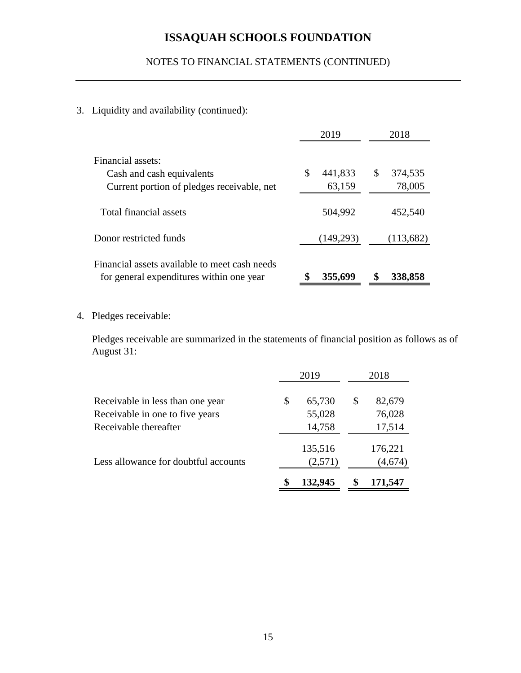# NOTES TO FINANCIAL STATEMENTS (CONTINUED)

## 3. Liquidity and availability (continued):

|                                                                                           | 2019          | 2018          |  |  |
|-------------------------------------------------------------------------------------------|---------------|---------------|--|--|
| Financial assets:<br>Cash and cash equivalents                                            | 441,833<br>\$ | \$<br>374,535 |  |  |
| Current portion of pledges receivable, net                                                | 63,159        | 78,005        |  |  |
| Total financial assets                                                                    | 504,992       | 452,540       |  |  |
| Donor restricted funds                                                                    | (149,293)     | (113,682)     |  |  |
| Financial assets available to meet cash needs<br>for general expenditures within one year | 355,699       | \$<br>338,858 |  |  |

4. Pledges receivable:

Pledges receivable are summarized in the statements of financial position as follows as of August 31:

|                                      | 2019          | 2018 |         |  |
|--------------------------------------|---------------|------|---------|--|
| Receivable in less than one year     | \$<br>65,730  | \$   | 82,679  |  |
| Receivable in one to five years      | 55,028        |      | 76,028  |  |
| Receivable thereafter                | 14,758        |      | 17,514  |  |
|                                      | 135,516       |      | 176,221 |  |
| Less allowance for doubtful accounts | (2,571)       |      | (4,674) |  |
|                                      | \$<br>132,945 | S    | 171,547 |  |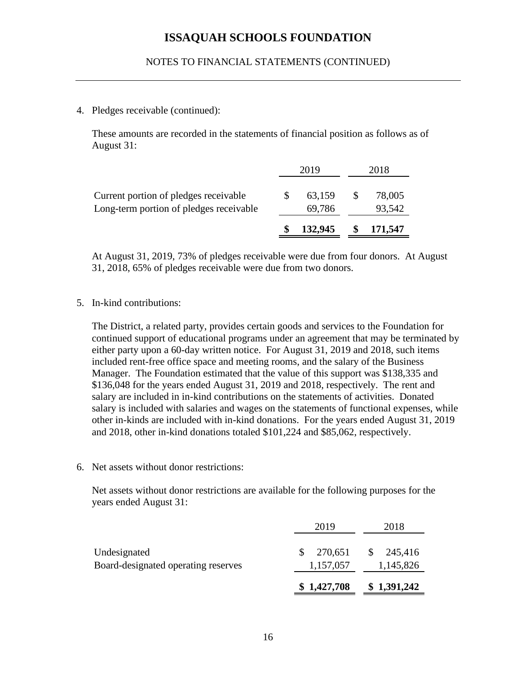#### 4. Pledges receivable (continued):

These amounts are recorded in the statements of financial position as follows as of August 31:

|                                                                                  | 2019 |                  | 2018             |
|----------------------------------------------------------------------------------|------|------------------|------------------|
| Current portion of pledges receivable<br>Long-term portion of pledges receivable |      | 63,159<br>69,786 | 78,005<br>93,542 |
|                                                                                  |      | 132,945          | 171,547          |

At August 31, 2019, 73% of pledges receivable were due from four donors. At August 31, 2018, 65% of pledges receivable were due from two donors.

5. In-kind contributions:

The District, a related party, provides certain goods and services to the Foundation for continued support of educational programs under an agreement that may be terminated by either party upon a 60-day written notice. For August 31, 2019 and 2018, such items included rent-free office space and meeting rooms, and the salary of the Business Manager. The Foundation estimated that the value of this support was \$138,335 and \$136,048 for the years ended August 31, 2019 and 2018, respectively. The rent and salary are included in in-kind contributions on the statements of activities. Donated salary is included with salaries and wages on the statements of functional expenses, while other in-kinds are included with in-kind donations. For the years ended August 31, 2019 and 2018, other in-kind donations totaled \$101,224 and \$85,062, respectively.

6. Net assets without donor restrictions:

Net assets without donor restrictions are available for the following purposes for the years ended August 31:

|                                     | \$1,427,708         | \$1,391,242              |
|-------------------------------------|---------------------|--------------------------|
| Board-designated operating reserves | 1,157,057           | 1,145,826                |
| Undesignated                        | 270,651<br><b>S</b> | 245,416<br><sup>\$</sup> |
|                                     | 2019                | 2018                     |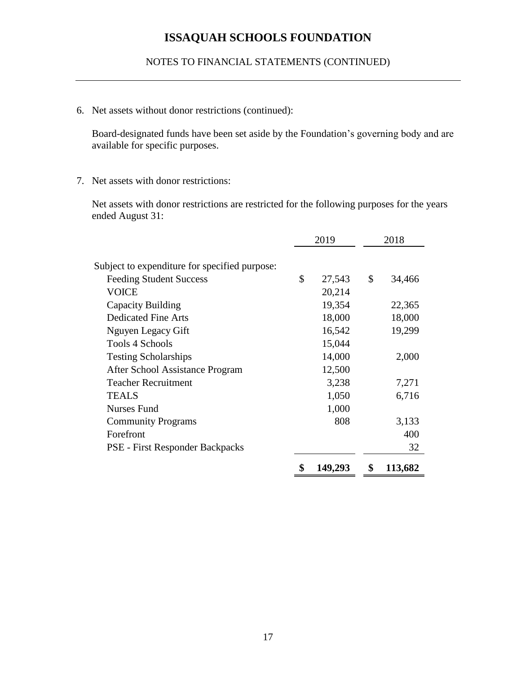NOTES TO FINANCIAL STATEMENTS (CONTINUED)

6. Net assets without donor restrictions (continued):

Board-designated funds have been set aside by the Foundation's governing body and are available for specific purposes.

7. Net assets with donor restrictions:

Net assets with donor restrictions are restricted for the following purposes for the years ended August 31:

|                                               | 2019 |         | 2018          |
|-----------------------------------------------|------|---------|---------------|
|                                               |      |         |               |
| Subject to expenditure for specified purpose: |      |         |               |
| <b>Feeding Student Success</b>                | \$   | 27,543  | \$<br>34,466  |
| <b>VOICE</b>                                  |      | 20,214  |               |
| Capacity Building                             |      | 19,354  | 22,365        |
| <b>Dedicated Fine Arts</b>                    |      | 18,000  | 18,000        |
| Nguyen Legacy Gift                            |      | 16,542  | 19,299        |
| Tools 4 Schools                               |      | 15,044  |               |
| <b>Testing Scholarships</b>                   |      | 14,000  | 2,000         |
| After School Assistance Program               |      | 12,500  |               |
| <b>Teacher Recruitment</b>                    |      | 3,238   | 7,271         |
| <b>TEALS</b>                                  |      | 1,050   | 6,716         |
| <b>Nurses Fund</b>                            |      | 1,000   |               |
| <b>Community Programs</b>                     |      | 808     | 3,133         |
| Forefront                                     |      |         | 400           |
| PSE - First Responder Backpacks               |      |         | 32            |
|                                               | \$   | 149,293 | \$<br>113,682 |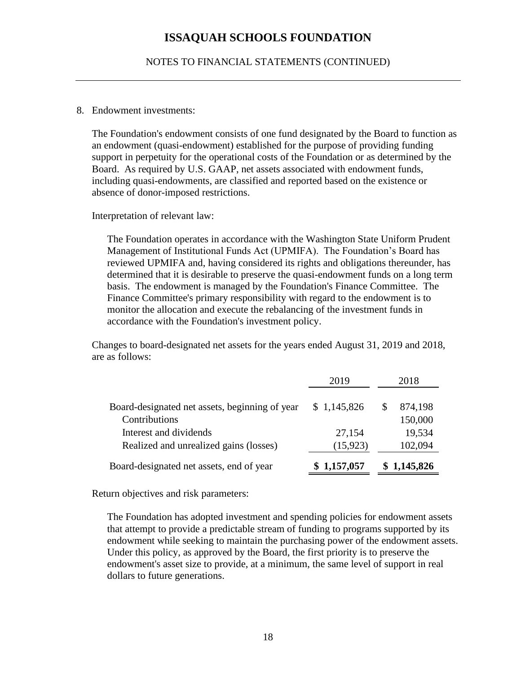NOTES TO FINANCIAL STATEMENTS (CONTINUED)

#### 8. Endowment investments:

The Foundation's endowment consists of one fund designated by the Board to function as an endowment (quasi-endowment) established for the purpose of providing funding support in perpetuity for the operational costs of the Foundation or as determined by the Board. As required by U.S. GAAP, net assets associated with endowment funds, including quasi-endowments, are classified and reported based on the existence or absence of donor-imposed restrictions.

#### Interpretation of relevant law:

The Foundation operates in accordance with the Washington State Uniform Prudent Management of Institutional Funds Act (UPMIFA). The Foundation's Board has reviewed UPMIFA and, having considered its rights and obligations thereunder, has determined that it is desirable to preserve the quasi-endowment funds on a long term basis. The endowment is managed by the Foundation's Finance Committee. The Finance Committee's primary responsibility with regard to the endowment is to monitor the allocation and execute the rebalancing of the investment funds in accordance with the Foundation's investment policy.

Changes to board-designated net assets for the years ended August 31, 2019 and 2018, are as follows:

|                                                                  | 2019                | 2018 |                   |  |
|------------------------------------------------------------------|---------------------|------|-------------------|--|
| Board-designated net assets, beginning of year                   | \$1,145,826         | S    | 874,198           |  |
| Contributions                                                    |                     |      | 150,000           |  |
| Interest and dividends<br>Realized and unrealized gains (losses) | 27,154<br>(15, 923) |      | 19,534<br>102,094 |  |
| Board-designated net assets, end of year                         | \$1,157,057         |      | \$1,145,826       |  |

Return objectives and risk parameters:

The Foundation has adopted investment and spending policies for endowment assets that attempt to provide a predictable stream of funding to programs supported by its endowment while seeking to maintain the purchasing power of the endowment assets. Under this policy, as approved by the Board, the first priority is to preserve the endowment's asset size to provide, at a minimum, the same level of support in real dollars to future generations.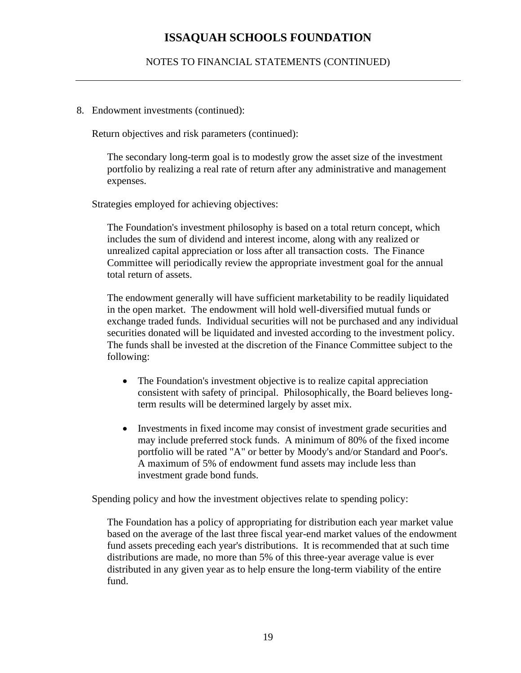## NOTES TO FINANCIAL STATEMENTS (CONTINUED)

#### 8. Endowment investments (continued):

Return objectives and risk parameters (continued):

The secondary long-term goal is to modestly grow the asset size of the investment portfolio by realizing a real rate of return after any administrative and management expenses.

Strategies employed for achieving objectives:

The Foundation's investment philosophy is based on a total return concept, which includes the sum of dividend and interest income, along with any realized or unrealized capital appreciation or loss after all transaction costs. The Finance Committee will periodically review the appropriate investment goal for the annual total return of assets.

The endowment generally will have sufficient marketability to be readily liquidated in the open market. The endowment will hold well-diversified mutual funds or exchange traded funds. Individual securities will not be purchased and any individual securities donated will be liquidated and invested according to the investment policy. The funds shall be invested at the discretion of the Finance Committee subject to the following:

- The Foundation's investment objective is to realize capital appreciation consistent with safety of principal. Philosophically, the Board believes longterm results will be determined largely by asset mix.
- Investments in fixed income may consist of investment grade securities and may include preferred stock funds. A minimum of 80% of the fixed income portfolio will be rated "A" or better by Moody's and/or Standard and Poor's. A maximum of 5% of endowment fund assets may include less than investment grade bond funds.

Spending policy and how the investment objectives relate to spending policy:

The Foundation has a policy of appropriating for distribution each year market value based on the average of the last three fiscal year-end market values of the endowment fund assets preceding each year's distributions. It is recommended that at such time distributions are made, no more than 5% of this three-year average value is ever distributed in any given year as to help ensure the long-term viability of the entire fund.